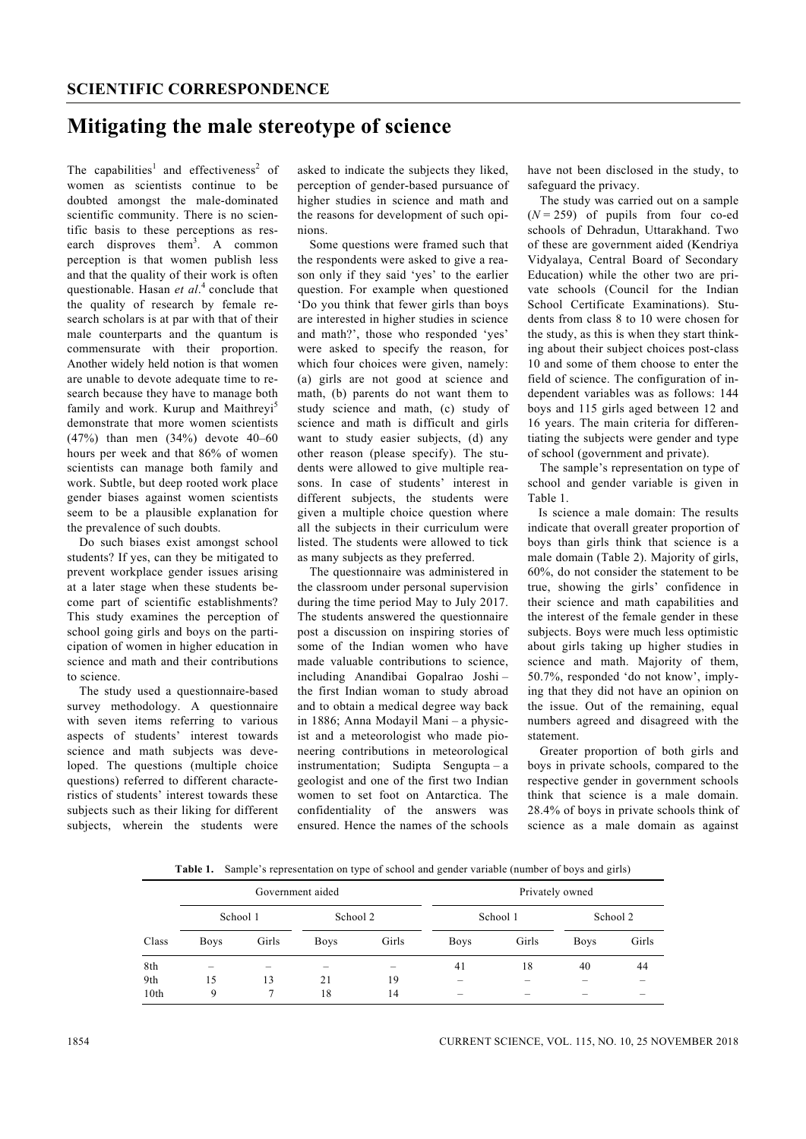## **Mitigating the male stereotype of science**

The capabilities<sup>1</sup> and effectiveness<sup>2</sup> of women as scientists continue to be doubted amongst the male-dominated scientific community. There is no scientific basis to these perceptions as research disproves them<sup>3</sup>. A common perception is that women publish less and that the quality of their work is often questionable. Hasan *et al*. 4 conclude that the quality of research by female research scholars is at par with that of their male counterparts and the quantum is commensurate with their proportion. Another widely held notion is that women are unable to devote adequate time to research because they have to manage both family and work. Kurup and Maithreyi<sup>5</sup> demonstrate that more women scientists (47%) than men (34%) devote 40–60 hours per week and that 86% of women scientists can manage both family and work. Subtle, but deep rooted work place gender biases against women scientists seem to be a plausible explanation for the prevalence of such doubts.

 Do such biases exist amongst school students? If yes, can they be mitigated to prevent workplace gender issues arising at a later stage when these students become part of scientific establishments? This study examines the perception of school going girls and boys on the participation of women in higher education in science and math and their contributions to science.

The study used a questionnaire-based survey methodology. A questionnaire with seven items referring to various aspects of students' interest towards science and math subjects was developed. The questions (multiple choice questions) referred to different characteristics of students' interest towards these subjects such as their liking for different subjects, wherein the students were

asked to indicate the subjects they liked, perception of gender-based pursuance of higher studies in science and math and the reasons for development of such opinions.

 Some questions were framed such that the respondents were asked to give a reason only if they said 'yes' to the earlier question. For example when questioned 'Do you think that fewer girls than boys are interested in higher studies in science and math?', those who responded 'yes' were asked to specify the reason, for which four choices were given, namely: (a) girls are not good at science and math, (b) parents do not want them to study science and math, (c) study of science and math is difficult and girls want to study easier subjects, (d) any other reason (please specify). The students were allowed to give multiple reasons. In case of students' interest in different subjects, the students were given a multiple choice question where all the subjects in their curriculum were listed. The students were allowed to tick as many subjects as they preferred.

 The questionnaire was administered in the classroom under personal supervision during the time period May to July 2017. The students answered the questionnaire post a discussion on inspiring stories of some of the Indian women who have made valuable contributions to science, including Anandibai Gopalrao Joshi – the first Indian woman to study abroad and to obtain a medical degree way back in 1886; Anna Modayil Mani – a physicist and a meteorologist who made pioneering contributions in meteorological instrumentation; Sudipta Sengupta – a geologist and one of the first two Indian women to set foot on Antarctica. The confidentiality of the answers was ensured. Hence the names of the schools

have not been disclosed in the study, to safeguard the privacy.

 The study was carried out on a sample  $(N = 259)$  of pupils from four co-ed schools of Dehradun, Uttarakhand. Two of these are government aided (Kendriya Vidyalaya, Central Board of Secondary Education) while the other two are private schools (Council for the Indian School Certificate Examinations). Students from class 8 to 10 were chosen for the study, as this is when they start thinking about their subject choices post-class 10 and some of them choose to enter the field of science. The configuration of independent variables was as follows: 144 boys and 115 girls aged between 12 and 16 years. The main criteria for differentiating the subjects were gender and type of school (government and private).

 The sample's representation on type of school and gender variable is given in Table 1.

Is science a male domain: The results indicate that overall greater proportion of boys than girls think that science is a male domain (Table 2). Majority of girls, 60%, do not consider the statement to be true, showing the girls' confidence in their science and math capabilities and the interest of the female gender in these subjects. Boys were much less optimistic about girls taking up higher studies in science and math. Majority of them, 50.7%, responded 'do not know', implying that they did not have an opinion on the issue. Out of the remaining, equal numbers agreed and disagreed with the statement.

 Greater proportion of both girls and boys in private schools, compared to the respective gender in government schools think that science is a male domain. 28.4% of boys in private schools think of science as a male domain as against

**Table 1.** Sample's representation on type of school and gender variable (number of boys and girls)

|       |             |       | Government aided |       | Privately owned |       |             |       |  |
|-------|-------------|-------|------------------|-------|-----------------|-------|-------------|-------|--|
|       | School 1    |       | School 2         |       | School 1        |       | School 2    |       |  |
| Class | <b>Boys</b> | Girls | <b>Boys</b>      | Girls | <b>Boys</b>     | Girls | <b>Boys</b> | Girls |  |
| 8th   | -           |       | -                |       | 41              | 18    | 40          | 44    |  |
| 9th   | 15          | 13    | 21               | 19    | -               |       |             |       |  |
| 10th  | 9           |       | 18               | 14    |                 |       |             |       |  |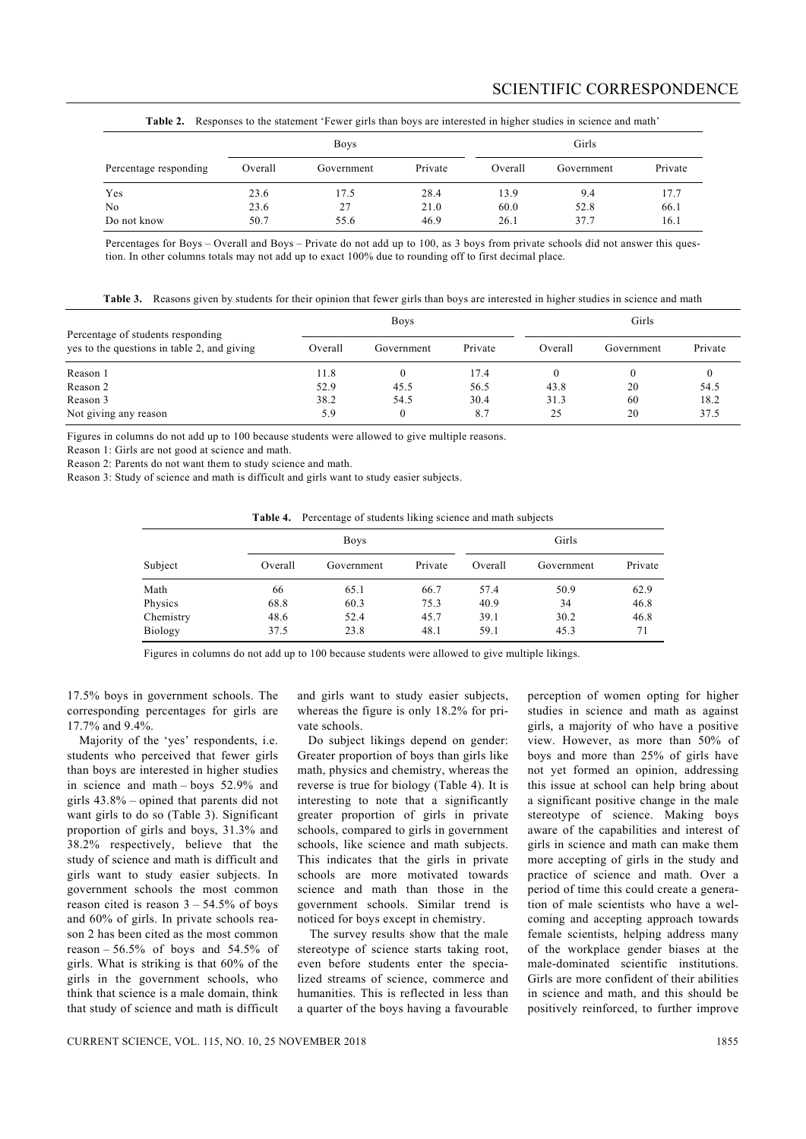|                       |         | <b>Boys</b> |         | Those It receptings to the suitement Terrer gives man over their colored in mighty station in service and math<br>Girls |            |         |  |  |
|-----------------------|---------|-------------|---------|-------------------------------------------------------------------------------------------------------------------------|------------|---------|--|--|
| Percentage responding | Overall | Government  | Private | Overall                                                                                                                 | Government | Private |  |  |
| Yes                   | 23.6    | 17.5        | 28.4    | 13.9                                                                                                                    | 9.4        | 17.7    |  |  |
| N <sub>0</sub>        | 23.6    | 27          | 21.0    | 60.0                                                                                                                    | 52.8       | 66.1    |  |  |
| Do not know           | 50.7    | 55.6        | 46.9    | 26.1                                                                                                                    | 37.7       | 16.1    |  |  |

**Table 2.** Responses to the statement 'Fewer girls than boys are interested in higher studies in science and math'

Percentages for Boys – Overall and Boys – Private do not add up to 100, as 3 boys from private schools did not answer this question. In other columns totals may not add up to exact 100% due to rounding off to first decimal place.

|  |  |  |  |  |  | Table 3. Reasons given by students for their opinion that fewer girls than boys are interested in higher studies in science and math |
|--|--|--|--|--|--|--------------------------------------------------------------------------------------------------------------------------------------|
|--|--|--|--|--|--|--------------------------------------------------------------------------------------------------------------------------------------|

| Percentage of students responding           |         | <b>Boys</b> | Girls   |         |            |         |
|---------------------------------------------|---------|-------------|---------|---------|------------|---------|
| yes to the questions in table 2, and giving | Overall | Government  | Private | Overall | Government | Private |
| Reason 1                                    | 11.8    |             | 17.4    |         |            |         |
| Reason 2                                    | 52.9    | 45.5        | 56.5    | 43.8    | 20         | 54.5    |
| Reason 3                                    | 38.2    | 54.5        | 30.4    | 31.3    | 60         | 18.2    |
| Not giving any reason                       | 5.9     |             | 8.7     | 25      | 20         | 37.5    |

Figures in columns do not add up to 100 because students were allowed to give multiple reasons.

Reason 1: Girls are not good at science and math.

Reason 2: Parents do not want them to study science and math.

Reason 3: Study of science and math is difficult and girls want to study easier subjects.

|           |         | <b>Boys</b> | Girls   |         |            |         |
|-----------|---------|-------------|---------|---------|------------|---------|
| Subject   | Overall | Government  | Private | Overall | Government | Private |
| Math      | 66      | 65.1        | 66.7    | 57.4    | 50.9       | 62.9    |
| Physics   | 68.8    | 60.3        | 75.3    | 40.9    | 34         | 46.8    |
| Chemistry | 48.6    | 52.4        | 45.7    | 39.1    | 30.2       | 46.8    |
| Biology   | 37.5    | 23.8        | 48.1    | 59.1    | 45.3       | 71      |

Figures in columns do not add up to 100 because students were allowed to give multiple likings.

17.5% boys in government schools. The corresponding percentages for girls are 17.7% and 9.4%.

 Majority of the 'yes' respondents, i.e. students who perceived that fewer girls than boys are interested in higher studies in science and math – boys 52.9% and girls 43.8% – opined that parents did not want girls to do so (Table 3). Significant proportion of girls and boys, 31.3% and 38.2% respectively, believe that the study of science and math is difficult and girls want to study easier subjects. In government schools the most common reason cited is reason  $3 - 54.5\%$  of boys and 60% of girls. In private schools reason 2 has been cited as the most common reason  $-56.5\%$  of boys and  $54.5\%$  of girls. What is striking is that 60% of the girls in the government schools, who think that science is a male domain, think that study of science and math is difficult and girls want to study easier subjects, whereas the figure is only 18.2% for private schools.

Do subject likings depend on gender: Greater proportion of boys than girls like math, physics and chemistry, whereas the reverse is true for biology (Table 4). It is interesting to note that a significantly greater proportion of girls in private schools, compared to girls in government schools, like science and math subjects. This indicates that the girls in private schools are more motivated towards science and math than those in the government schools. Similar trend is noticed for boys except in chemistry.

 The survey results show that the male stereotype of science starts taking root, even before students enter the specialized streams of science, commerce and humanities. This is reflected in less than a quarter of the boys having a favourable perception of women opting for higher studies in science and math as against girls, a majority of who have a positive view. However, as more than 50% of boys and more than 25% of girls have not yet formed an opinion, addressing this issue at school can help bring about a significant positive change in the male stereotype of science. Making boys aware of the capabilities and interest of girls in science and math can make them more accepting of girls in the study and practice of science and math. Over a period of time this could create a generation of male scientists who have a welcoming and accepting approach towards female scientists, helping address many of the workplace gender biases at the male-dominated scientific institutions. Girls are more confident of their abilities in science and math, and this should be positively reinforced, to further improve